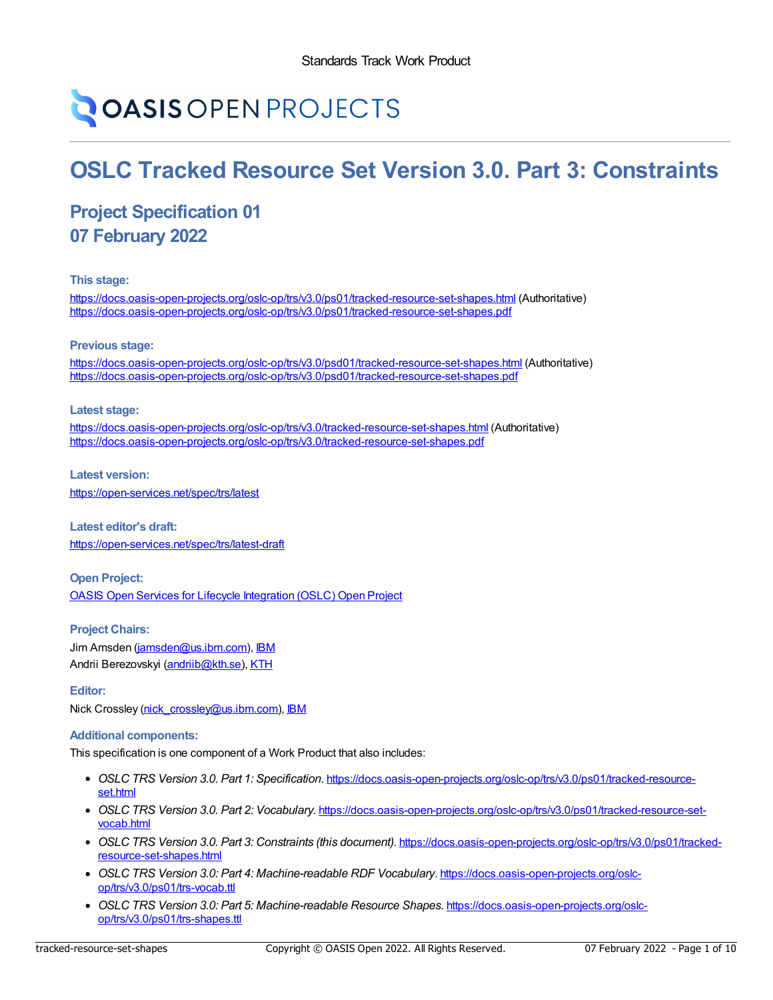# **OASIS OPEN PROJECTS**

## **OSLC Tracked Resource Set Version 3.0. Part 3: Constraints**

### **Project Specification 01 07 February 2022**

#### **This stage:**

<https://docs.oasis-open-projects.org/oslc-op/trs/v3.0/ps01/tracked-resource-set-shapes.html> (Authoritative) <https://docs.oasis-open-projects.org/oslc-op/trs/v3.0/ps01/tracked-resource-set-shapes.pdf>

#### **Previous stage:**

<https://docs.oasis-open-projects.org/oslc-op/trs/v3.0/psd01/tracked-resource-set-shapes.html> (Authoritative) <https://docs.oasis-open-projects.org/oslc-op/trs/v3.0/psd01/tracked-resource-set-shapes.pdf>

#### **Latest stage:**

<https://docs.oasis-open-projects.org/oslc-op/trs/v3.0/tracked-resource-set-shapes.html> (Authoritative) <https://docs.oasis-open-projects.org/oslc-op/trs/v3.0/tracked-resource-set-shapes.pdf>

**Latest version:** <https://open-services.net/spec/trs/latest>

**Latest editor's draft:** <https://open-services.net/spec/trs/latest-draft>

**Open Project:** OASIS Open Services for Lifecycle [Integration](https://open-services.net/about/) (OSLC) Open Project

**Project Chairs:** Jim Amsden [\(jamsden@us.ibm.com](mailto:jamsden@us.ibm.com)), [IBM](https://www.ibm.com/) Andrii Berezovskyi [\(andriib@kth.se](mailto:andriib@kth.se)), [KTH](https://www.kth.se/)

#### **Editor:**

Nick Crossley [\(nick\\_crossley@us.ibm.com](mailto:nick_crossley@us.ibm.com)), [IBM](http://www.ibm.com)

#### **Additional components:**

This specification is one component of a Work Product that also includes:

- *OSLC TRS Version 3.0. Part 1: Specification*. [https://docs.oasis-open-projects.org/oslc-op/trs/v3.0/ps01/tracked-resource](https://docs.oasis-open-projects.org/oslc-op/trs/v3.0/ps01/tracked-resource-set.html)set.html
- *OSLC TRS Version 3.0. Part 2: Vocabulary*. [https://docs.oasis-open-projects.org/oslc-op/trs/v3.0/ps01/tracked-resource-set](https://docs.oasis-open-projects.org/oslc-op/trs/v3.0/ps01/tracked-resource-set-vocab.html)vocab.html
- *OSLC TRS Version 3.0. Part 3: Constraints (this document)*. [https://docs.oasis-open-projects.org/oslc-op/trs/v3.0/ps01/tracked](https://docs.oasis-open-projects.org/oslc-op/trs/v3.0/ps01/tracked-resource-set-shapes.html)resource-set-shapes.html
- *OSLC TRS Version 3.0: Part 4: Machine-readable RDF Vocabulary*. [https://docs.oasis-open-projects.org/oslc](https://docs.oasis-open-projects.org/oslc-op/trs/v3.0/ps01/trs-vocab.ttl)op/trs/v3.0/ps01/trs-vocab.ttl
- *OSLC TRS Version 3.0: Part 5: Machine-readable Resource Shapes*. [https://docs.oasis-open-projects.org/oslc](https://docs.oasis-open-projects.org/oslc-op/trs/v3.0/ps01/trs-shapes.ttl)op/trs/v3.0/ps01/trs-shapes.ttl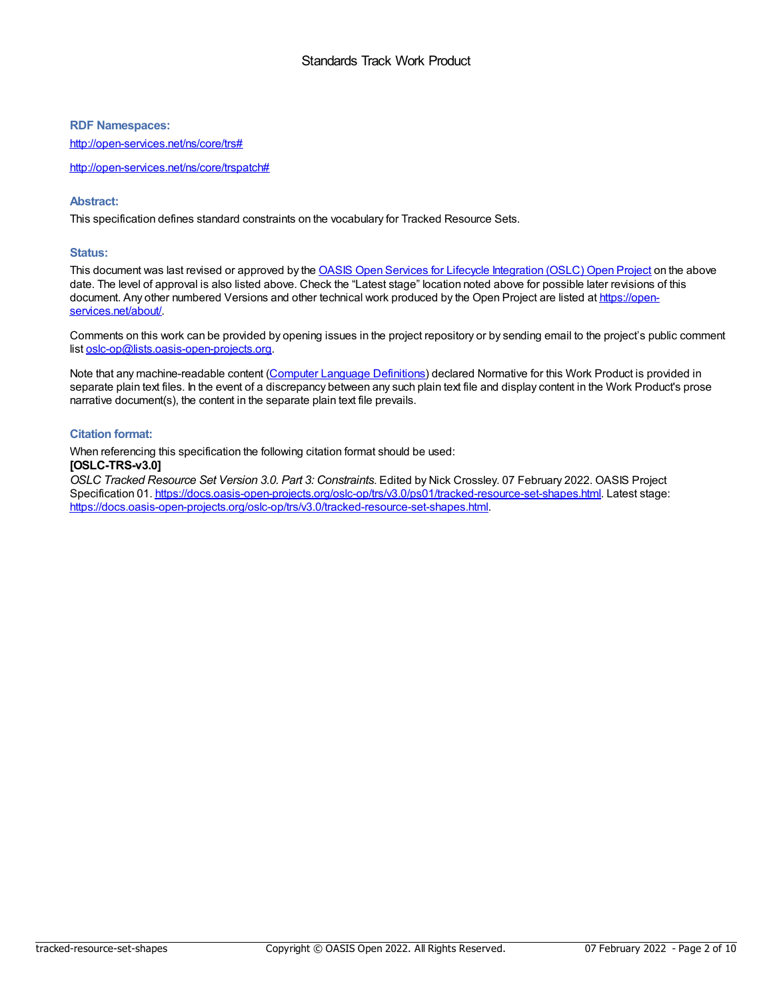#### **RDF Namespaces:**

<http://open-services.net/ns/core/trs#>

<http://open-services.net/ns/core/trspatch#>

#### **Abstract:**

This specification defines standard constraints on the vocabulary for Tracked Resource Sets.

#### **Status:**

This document was last revised or approved by the OASIS Open Services for Lifecycle [Integration](https://open-services.net/about/) (OSLC) Open Project on the above date. The level of approval is also listed above. Check the "Latest stage" location noted above for possible later revisions of this document. Any other numbered Versions and other technical work produced by the Open Project are listed at https://open[services.net/about/.](https://open-services.net/about/)

Comments on this work can be provided by opening issues in the project repository or by sending email to the project's public comment list [oslc-op@lists.oasis-open-projects.org](mailto:oslc-op@lists.oasis-open-projects.org).

Note that any machine-readable content (Computer Language [Definitions](https://www.oasis-open.org/policies-guidelines/tc-process-2017-05-26/#wpComponentsCompLang)) declared Normative for this Work Product is provided in separate plain text files. In the event of a discrepancy between any such plain text file and display content in the Work Product's prose narrative document(s), the content in the separate plain text file prevails.

#### **Citation format:**

When referencing this specification the following citation format should be used: **[OSLC-TRS-v3.0]**

*OSLC Tracked Resource Set Version 3.0. Part 3: Constraints*. Edited by Nick Crossley. 07 February 2022. OASIS Project Specification 01. <https://docs.oasis-open-projects.org/oslc-op/trs/v3.0/ps01/tracked-resource-set-shapes.html>. Latest stage: <https://docs.oasis-open-projects.org/oslc-op/trs/v3.0/tracked-resource-set-shapes.html>.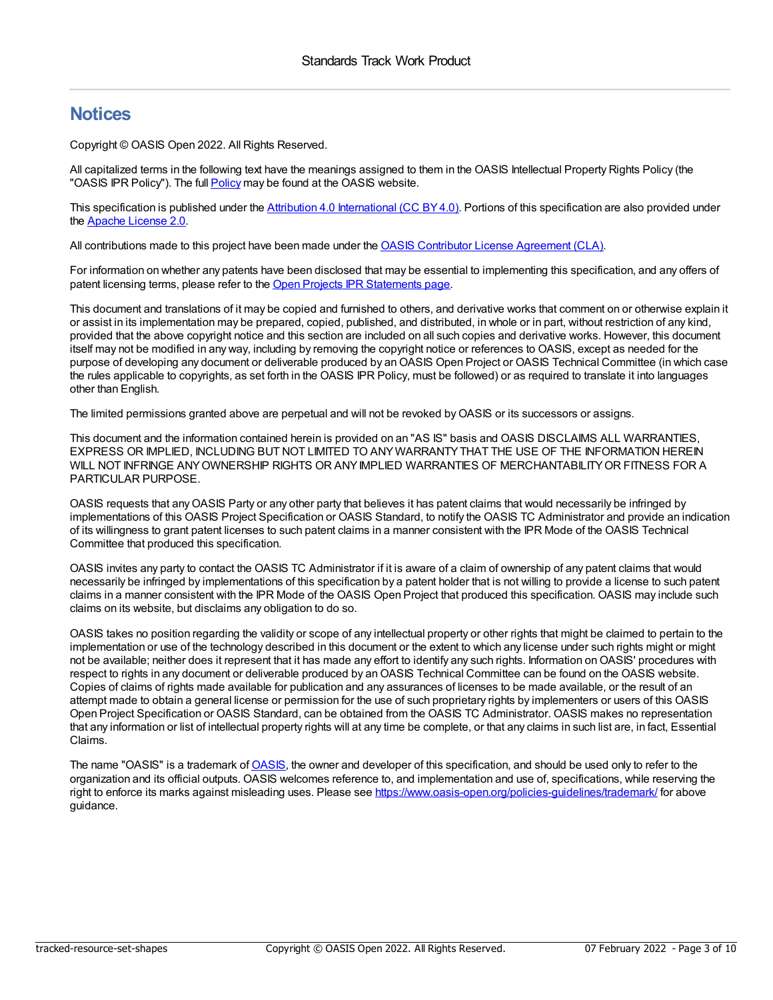### **Notices**

Copyright © OASIS Open 2022. All Rights Reserved.

All capitalized terms in the following text have the meanings assigned to them in the OASIS Intellectual Property Rights Policy (the "OASIS IPR [Policy](https://www.oasis-open.org/policies-guidelines/ipr/)"). The full Policy may be found at the OASIS website.

This specification is published under the Attribution 4.0 [International](https://creativecommons.org/licenses/by/4.0/legalcode) (CC BY 4.0). Portions of this specification are also provided under the Apache [License](https://www.apache.org/licenses/LICENSE-2.0) 2.0.

All contributions made to this project have been made under the OASIS Contributor License [Agreement](https://www.oasis-open.org/policies-guidelines/open-projects-process#individual-cla-exhibit) (CLA).

For information on whether any patents have been disclosed that may be essential to implementing this specification, and any offers of patent licensing terms, please refer to the Open Projects IPR [Statements](https://github.com/oasis-open-projects/administration/blob/master/IPR_STATEMENTS.md#open-services-for-lifecycle-collaboration-oslc-open-project) page.

This document and translations of it may be copied and furnished to others, and derivative works that comment on or otherwise explain it or assist in its implementation may be prepared, copied, published, and distributed, in whole or in part, without restriction of any kind, provided that the above copyright notice and this section are included on all such copies and derivative works. However, this document itself may not be modified in any way, including by removing the copyright notice or references to OASIS, except as needed for the purpose of developing any document or deliverable produced by an OASIS Open Project or OASIS Technical Committee (in which case the rules applicable to copyrights, as set forth in the OASIS IPR Policy, must be followed) or as required to translate it into languages other than English.

The limited permissions granted above are perpetual and will not be revoked byOASIS or its successors or assigns.

This document and the information contained herein is provided on an "AS IS" basis and OASIS DISCLAIMS ALL WARRANTIES, EXPRESS OR IMPLIED, INCLUDING BUT NOT LIMITED TO ANYWARRANTYTHAT THE USE OF THE INFORMATION HEREIN WILL NOT INFRINGE ANYOWNERSHIP RIGHTS OR ANYIMPLIED WARRANTIES OF MERCHANTABILITYOR FITNESS FOR A PARTICULAR PURPOSE.

OASIS requests that anyOASIS Party or any other party that believes it has patent claims that would necessarily be infringed by implementations of this OASIS Project Specification or OASIS Standard, to notify the OASIS TC Administrator and provide an indication of its willingness to grant patent licenses to such patent claims in a manner consistent with the IPR Mode of the OASIS Technical Committee that produced this specification.

OASIS invites any party to contact the OASIS TC Administrator if it is aware of a claim of ownership of any patent claims that would necessarily be infringed by implementations of this specification by a patent holder that is not willing to provide a license to such patent claims in a manner consistent with the IPR Mode of the OASIS Open Project that produced this specification. OASIS may include such claims on its website, but disclaims any obligation to do so.

OASIS takes no position regarding the validity or scope of any intellectual property or other rights that might be claimed to pertain to the implementation or use of the technology described in this document or the extent to which any license under such rights might or might not be available; neither does it represent that it has made any effort to identify any such rights. Information onOASIS' procedures with respect to rights in any document or deliverable produced by an OASIS Technical Committee can be found on the OASIS website. Copies of claims of rights made available for publication and any assurances of licenses to be made available, or the result of an attempt made to obtain a general license or permission for the use of such proprietary rights by implementers or users of this OASIS Open Project Specification or OASIS Standard, can be obtained from the OASIS TC Administrator. OASIS makes no representation that any information or list of intellectual property rights will at any time be complete, or that any claims in such list are, in fact, Essential Claims.

The name "[OASIS](https://www.oasis-open.org)" is a trademark of OASIS, the owner and developer of this specification, and should be used only to refer to the organization and its official outputs. OASIS welcomes reference to, and implementation and use of, specifications, while reserving the right to enforce its marks against misleading uses. Please see <https://www.oasis-open.org/policies-guidelines/trademark/> for above guidance.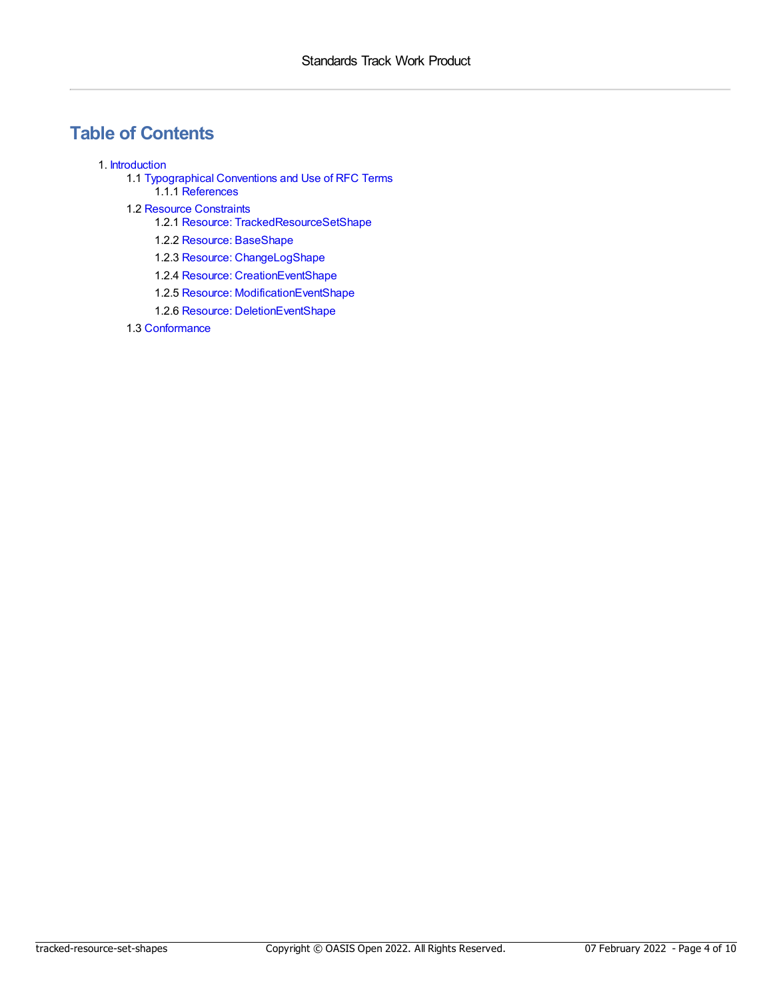### **Table of Contents**

#### 1. [Introduction](#page-6-0)

- 1.1 [Typographical](#page-4-0) Conventions and Use of RFC Terms 1.1.1 [References](#page-4-1)
- 1.2 Resource [Constraints](#page-7-0)
	- 1.2.1 Resource: [TrackedResourceSetShape](#page-5-0)
	- 1.2.2 Resource: [BaseShape](#page-5-1)
	- 1.2.3 Resource: [ChangeLogShape](#page-6-1)
	- 1.2.4 Resource: [CreationEventShape](#page-7-1)
	- 1.2.5 Resource: [ModificationEventShape](#page-8-0)
	- 1.2.6 Resource: [DeletionEventShape](#page-8-1)
- 1.3 [Conformance](#page-9-0)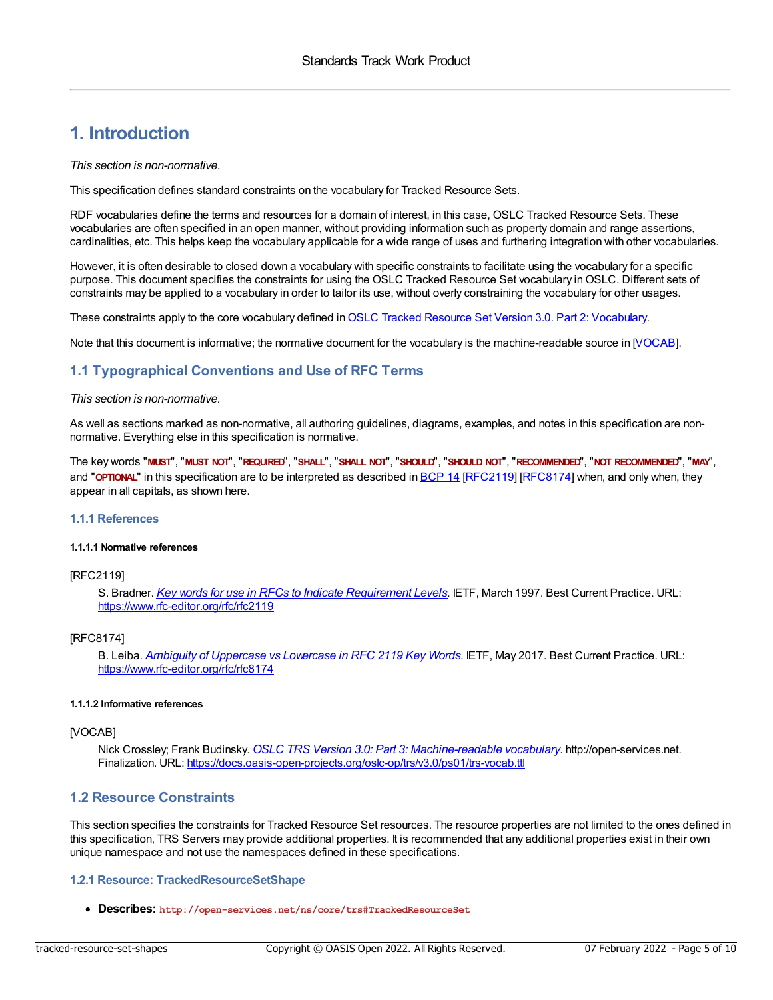### **1. Introduction**

*This section is non-normative.*

This specification defines standard constraints on the vocabulary for Tracked Resource Sets.

RDF vocabularies define the terms and resources for a domain of interest, in this case, OSLC Tracked Resource Sets. These vocabularies are often specified in an open manner, without providing information such as property domain and range assertions, cardinalities, etc. This helps keep the vocabulary applicable for a wide range of uses and furthering integration with other vocabularies.

However, it is often desirable to closed down a vocabulary with specific constraints to facilitate using the vocabulary for a specific purpose. This document specifies the constraints for using the OSLC Tracked Resource Set vocabulary in OSLC. Different sets of constraints may be applied to a vocabulary in order to tailor its use, without overly constraining the vocabulary for other usages.

These constraints apply to the core vocabulary defined in OSLC Tracked Resource Set Version 3.0. Part 2: [Vocabulary](https://docs.oasis-open-projects.org/oslc-op/trs/v3.0/ps01/tracked-resource-set-vocab.html).

Note that this document is informative; the normative document for the vocabulary is the machine-readable source in [\[VOCAB](#page-4-2)].

#### <span id="page-4-0"></span>**1.1 Typographical Conventions and Use of RFC Terms**

#### *This section is non-normative.*

As well as sections marked as non-normative, all authoring guidelines, diagrams, examples, and notes in this specification are nonnormative. Everything else in this specification is normative.

The key words "MUST", "MUST NOT", "REQUIRED", "SHALL", "SHALL NOT", "SHOULD", "SHOULD NOT", "RECOMMENDED", "MOT RECOMMENDED", "MAY", and "**OPTIONAL**" in this specification are to be interpreted as described in **[BCP](https://tools.ietf.org/html/bcp14) 14** [\[RFC2119](#page-4-3)] [\[RFC8174](#page-4-4)] when, and only when, they appear in all capitals, as shown here.

#### <span id="page-4-1"></span>**1.1.1 References**

#### **1.1.1.1 Normative references**

#### <span id="page-4-3"></span>[RFC2119]

S. Bradner. *Key words for use in RFCs to Indicate [Requirement](https://www.rfc-editor.org/rfc/rfc2119) Levels*. IETF, March 1997. Best Current Practice. URL: <https://www.rfc-editor.org/rfc/rfc2119>

#### <span id="page-4-4"></span>[RFC8174]

B. Leiba. *Ambiguity of [Uppercase](https://www.rfc-editor.org/rfc/rfc8174) vs Lowercase in RFC 2119 Key Words*. IETF, May 2017. Best Current Practice. URL: <https://www.rfc-editor.org/rfc/rfc8174>

#### **1.1.1.2 Informative references**

#### <span id="page-4-2"></span>[VOCAB]

Nick Crossley; Frank Budinsky. *OSLC TRS Version 3.0: Part 3: [Machine-readable](https://docs.oasis-open-projects.org/oslc-op/trs/v3.0/ps01/trs-vocab.ttl) vocabulary*. http://open-services.net. Finalization. URL: <https://docs.oasis-open-projects.org/oslc-op/trs/v3.0/ps01/trs-vocab.ttl>

#### **1.2 Resource Constraints**

This section specifies the constraints for Tracked Resource Set resources. The resource properties are not limited to the ones defined in this specification, TRS Servers may provide additional properties. It is recommended that any additional properties exist in their own unique namespace and not use the namespaces defined in these specifications.

#### **1.2.1 Resource: TrackedResourceSetShape**

**Describes: http://open-services.net/ns/core/trs#TrackedResourceSet**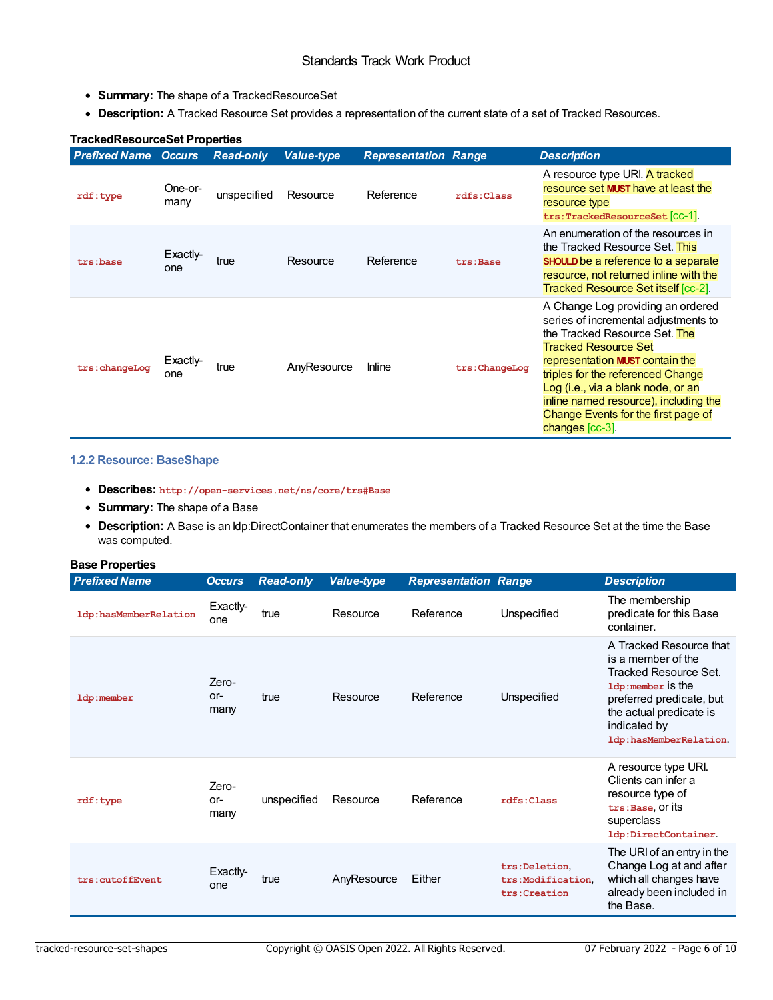- <span id="page-5-0"></span>**Summary:** The shape of a TrackedResourceSet
- **Description:** A Tracked Resource Set provides a representation of the current state of a set of Tracked Resources.

| <u>II ackeunesuul cesel FIUDEI lies</u> |                 |                  |                   |                             |                |                                                                                                                                                                                                                                                                                                                                                            |
|-----------------------------------------|-----------------|------------------|-------------------|-----------------------------|----------------|------------------------------------------------------------------------------------------------------------------------------------------------------------------------------------------------------------------------------------------------------------------------------------------------------------------------------------------------------------|
| <b>Prefixed Name Occurs</b>             |                 | <b>Read-only</b> | <b>Value-type</b> | <b>Representation Range</b> |                | <b>Description</b>                                                                                                                                                                                                                                                                                                                                         |
| rdf: type                               | One-or-<br>many | unspecified      | Resource          | Reference                   | rdfs:Class     | A resource type URI. A tracked<br>resource set MUST have at least the<br>resource type<br>trs:TrackedResourceSet [CC-1].                                                                                                                                                                                                                                   |
| trs:base                                | Exactly-<br>one | true             | Resource          | Reference                   | trs:Base       | An enumeration of the resources in<br>the Tracked Resource Set. This<br><b>SHOULD</b> be a reference to a separate<br>resource, not returned inline with the<br><b>Tracked Resource Set itself [cc-2].</b>                                                                                                                                                 |
| trs: changeLog                          | Exactly-<br>one | true             | AnyResource       | <b>Inline</b>               | trs: ChangeLog | A Change Log providing an ordered<br>series of incremental adjustments to<br>the Tracked Resource Set. The<br><b>Tracked Resource Set</b><br>representation MUST contain the<br>triples for the referenced Change<br>Log (i.e., via a blank node, or an<br>inline named resource), including the<br>Change Events for the first page of<br>changes [cc-3]. |

#### **TrackedResourceSet Properties**

#### <span id="page-5-1"></span>**1.2.2 Resource: BaseShape**

- **Describes: http://open-services.net/ns/core/trs#Base**
- **Summary:** The shape of a Base
- **Description:** A Base is an ldp:DirectContainer that enumerates the members of a Tracked Resource Set at the time the Base was computed.

| <b>Base Properties</b> |                      |                  |                   |                             |                                                    |                                                                                                                                                                                              |
|------------------------|----------------------|------------------|-------------------|-----------------------------|----------------------------------------------------|----------------------------------------------------------------------------------------------------------------------------------------------------------------------------------------------|
| <b>Prefixed Name</b>   | <b>Occurs</b>        | <b>Read-only</b> | <b>Value-type</b> | <b>Representation Range</b> |                                                    | <b>Description</b>                                                                                                                                                                           |
| ldp:hasMemberRelation  | Exactly-<br>one      | true             | Resource          | Reference                   | Unspecified                                        | The membership<br>predicate for this Base<br>container.                                                                                                                                      |
| ldp:member             | Zero-<br>or-<br>many | true             | Resource          | Reference                   | Unspecified                                        | A Tracked Resource that<br>is a member of the<br>Tracked Resource Set.<br>1dp:member is the<br>preferred predicate, but<br>the actual predicate is<br>indicated by<br>ldp:hasMemberRelation. |
| rdf: type              | Zero-<br>or-<br>many | unspecified      | Resource          | Reference                   | rdfs: Class                                        | A resource type URI.<br>Clients can infer a<br>resource type of<br>trs:Base, Or its<br>superclass<br>ldp:DirectContainer.                                                                    |
| trs:cutoffEvent        | Exactly-<br>one      | true             | AnyResource       | Either                      | trs:Deletion.<br>trs:Modification.<br>trs:Creation | The URI of an entry in the<br>Change Log at and after<br>which all changes have<br>already been included in<br>the Base.                                                                     |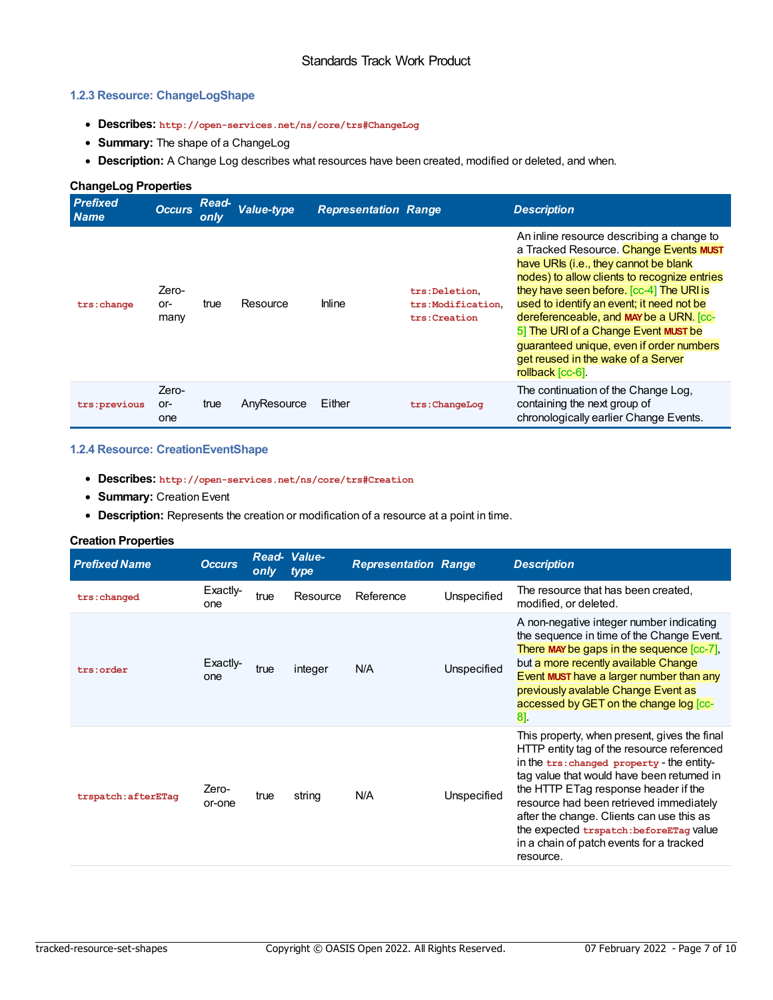#### <span id="page-6-1"></span><span id="page-6-0"></span>**1.2.3 Resource: ChangeLogShape**

- **Describes: http://open-services.net/ns/core/trs#ChangeLog**
- **Summary:** The shape of a ChangeLog
- **Description:** A Change Log describes what resources have been created, modified or deleted, and when.

| <b>ChangeLog Properties</b>    |                      |                      |             |                             |                                                    |                                                                                                                                                                                                                                                                                                                                                                                                                                                                |  |  |  |
|--------------------------------|----------------------|----------------------|-------------|-----------------------------|----------------------------------------------------|----------------------------------------------------------------------------------------------------------------------------------------------------------------------------------------------------------------------------------------------------------------------------------------------------------------------------------------------------------------------------------------------------------------------------------------------------------------|--|--|--|
| <b>Prefixed</b><br><b>Name</b> | <b>Occurs</b>        | <b>Read-</b><br>only | Value-type  | <b>Representation Range</b> |                                                    | <b>Description</b>                                                                                                                                                                                                                                                                                                                                                                                                                                             |  |  |  |
| trs: change                    | Zero-<br>or-<br>many | true                 | Resource    | <b>Inline</b>               | trs:Deletion.<br>trs:Modification.<br>trs:Creation | An inline resource describing a change to<br>a Tracked Resource. Change Events MUST<br>have URIs (i.e., they cannot be blank<br>nodes) to allow clients to recognize entries<br>they have seen before. [cc-4] The URI is<br>used to identify an event; it need not be<br>dereferenceable, and MAY be a URN. [cc-<br>5] The URI of a Change Event MUST be<br>quaranteed unique, even if order numbers<br>get reused in the wake of a Server<br>rollback [cc-6]. |  |  |  |
| trs: previous                  | Zero-<br>or-<br>one  | true                 | AnyResource | Either                      | trs:ChangeLog                                      | The continuation of the Change Log.<br>containing the next group of<br>chronologically earlier Change Events.                                                                                                                                                                                                                                                                                                                                                  |  |  |  |

#### **1.2.4 Resource: CreationEventShape**

- **Describes: http://open-services.net/ns/core/trs#Creation**
- **Summary:** Creation Event
- **Description:** Represents the creation or modification of a resource at a point in time.

#### **Creation Properties**

| <b>Prefixed Name</b> | <b>Occurs</b>   | only | Read- Value-<br>type | <b>Representation Range</b> |             | <b>Description</b>                                                                                                                                                                                                                                                                                                                                                                                                         |
|----------------------|-----------------|------|----------------------|-----------------------------|-------------|----------------------------------------------------------------------------------------------------------------------------------------------------------------------------------------------------------------------------------------------------------------------------------------------------------------------------------------------------------------------------------------------------------------------------|
| trs: changed         | Exactly-<br>one | true | Resource             | Reference                   | Unspecified | The resource that has been created,<br>modified, or deleted.                                                                                                                                                                                                                                                                                                                                                               |
| trs:order            | Exactly-<br>one | true | integer              | N/A                         | Unspecified | A non-negative integer number indicating<br>the sequence in time of the Change Event.<br>There MAY be gaps in the sequence $[cc-7]$ ,<br>but a more recently available Change<br>Event MUST have a larger number than any<br>previously avalable Change Event as<br>accessed by GET on the change log [cc-<br>$8$ ].                                                                                                       |
| trspatch: afterETag  | Zero-<br>or-one | true | string               | N/A                         | Unspecified | This property, when present, gives the final<br>HTTP entity tag of the resource referenced<br>in the trs: changed property - the entity-<br>tag value that would have been returned in<br>the HTTP ETag response header if the<br>resource had been retrieved immediately<br>after the change. Clients can use this as<br>the expected trspatch: beforeETag value<br>in a chain of patch events for a tracked<br>resource. |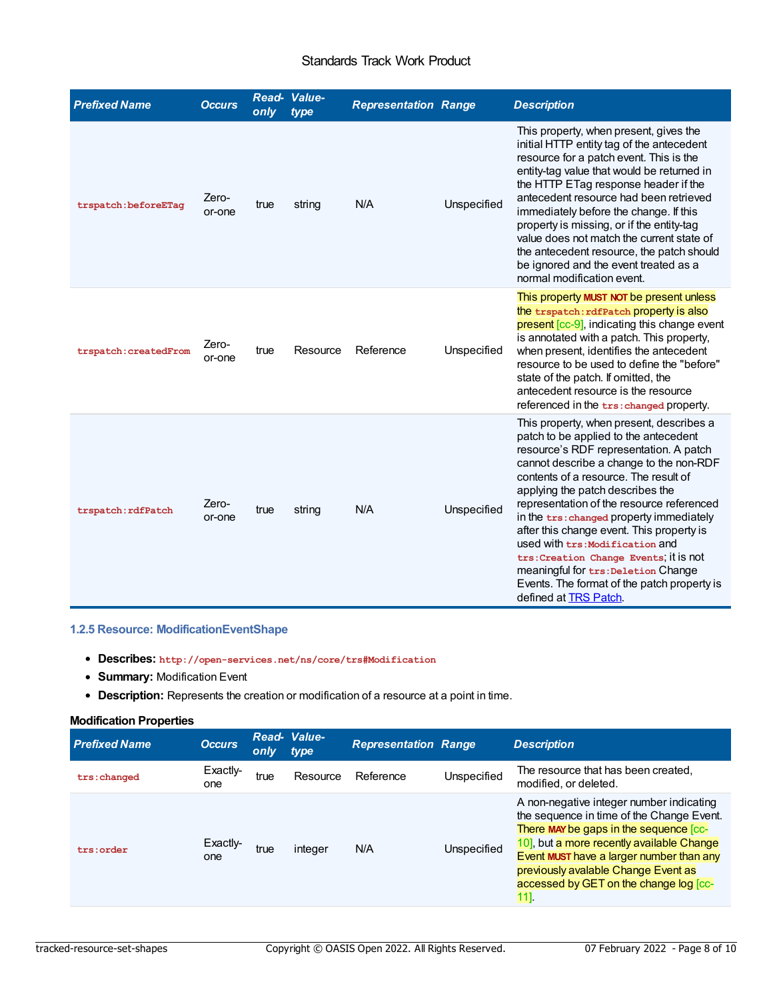#### <span id="page-7-0"></span>Standards Track Work Product

<span id="page-7-1"></span>

| <b>Prefixed Name</b>  | <b>Occurs</b>   | only | Read- Value-<br>type | <b>Representation Range</b> |             | <b>Description</b>                                                                                                                                                                                                                                                                                                                                                                                                                                                                                                                                                                    |
|-----------------------|-----------------|------|----------------------|-----------------------------|-------------|---------------------------------------------------------------------------------------------------------------------------------------------------------------------------------------------------------------------------------------------------------------------------------------------------------------------------------------------------------------------------------------------------------------------------------------------------------------------------------------------------------------------------------------------------------------------------------------|
| trspatch:beforeETaq   | Zero-<br>or-one | true | string               | N/A                         | Unspecified | This property, when present, gives the<br>initial HTTP entity tag of the antecedent<br>resource for a patch event. This is the<br>entity-tag value that would be returned in<br>the HTTP ETag response header if the<br>antecedent resource had been retrieved<br>immediately before the change. If this<br>property is missing, or if the entity-tag<br>value does not match the current state of<br>the antecedent resource, the patch should<br>be ignored and the event treated as a<br>normal modification event.                                                                |
| trspatch: createdFrom | Zero-<br>or-one | true | Resource             | Reference                   | Unspecified | This property MUST NOT be present unless<br>the trspatch: rdfPatch property is also<br>present [cc-9], indicating this change event<br>is annotated with a patch. This property,<br>when present, identifies the antecedent<br>resource to be used to define the "before"<br>state of the patch. If omitted, the<br>antecedent resource is the resource<br>referenced in the trs: changed property.                                                                                                                                                                                   |
| trspatch: rdfPatch    | Zero-<br>or-one | true | string               | N/A                         | Unspecified | This property, when present, describes a<br>patch to be applied to the antecedent<br>resource's RDF representation. A patch<br>cannot describe a change to the non-RDF<br>contents of a resource. The result of<br>applying the patch describes the<br>representation of the resource referenced<br>in the trs: changed property immediately<br>after this change event. This property is<br>used with trs: Modification and<br>trs: Creation Change Events, it is not<br>meaningful for trs: Deletion Change<br>Events. The format of the patch property is<br>defined at TRS Patch. |

#### **1.2.5 Resource: ModificationEventShape**

- **Describes: http://open-services.net/ns/core/trs#Modification**
- **Summary:** Modification Event
- **Description:** Represents the creation or modification of a resource at a point in time.

#### **Modification Properties**

| <b>Prefixed Name</b> | <b>Occurs</b>   | only | Read- Value-<br>type | <b>Representation Range</b> |             | <b>Description</b>                                                                                                                                                                                                                                                                                                   |
|----------------------|-----------------|------|----------------------|-----------------------------|-------------|----------------------------------------------------------------------------------------------------------------------------------------------------------------------------------------------------------------------------------------------------------------------------------------------------------------------|
| trs:changed          | Exactiv-<br>one | true | Resource             | Reference                   | Unspecified | The resource that has been created,<br>modified, or deleted.                                                                                                                                                                                                                                                         |
| trs:order            | Exactly-<br>one | true | integer              | N/A                         | Unspecified | A non-negative integer number indicating<br>the sequence in time of the Change Event.<br>There MAY be gaps in the sequence [cc-<br>10], but a more recently available Change<br>Event MUST have a larger number than any<br>previously avalable Change Event as<br>accessed by GET on the change log [cc-<br>$11$ ]. |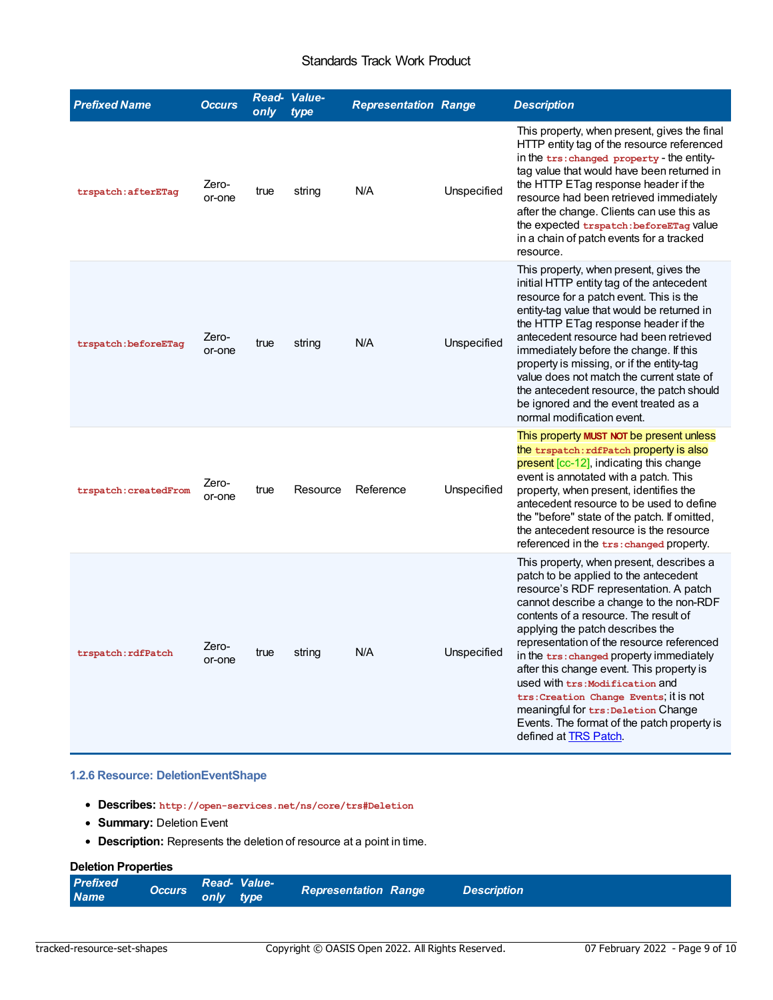#### Standards Track Work Product

<span id="page-8-0"></span>

| <b>Prefixed Name</b>  | <b>Occurs</b>   | only | Read- Value-<br>type | <b>Representation Range</b> |             | <b>Description</b>                                                                                                                                                                                                                                                                                                                                                                                                                                                                                                                                                                            |
|-----------------------|-----------------|------|----------------------|-----------------------------|-------------|-----------------------------------------------------------------------------------------------------------------------------------------------------------------------------------------------------------------------------------------------------------------------------------------------------------------------------------------------------------------------------------------------------------------------------------------------------------------------------------------------------------------------------------------------------------------------------------------------|
| trspatch: afterETaq   | Zero-<br>or-one | true | string               | N/A                         | Unspecified | This property, when present, gives the final<br>HTTP entity tag of the resource referenced<br>in the trs: changed property - the entity-<br>tag value that would have been returned in<br>the HTTP ETag response header if the<br>resource had been retrieved immediately<br>after the change. Clients can use this as<br>the expected trspatch: beforeETag Value<br>in a chain of patch events for a tracked<br>resource.                                                                                                                                                                    |
| trspatch: beforeETaq  | Zero-<br>or-one | true | string               | N/A                         | Unspecified | This property, when present, gives the<br>initial HTTP entity tag of the antecedent<br>resource for a patch event. This is the<br>entity-tag value that would be returned in<br>the HTTP ETag response header if the<br>antecedent resource had been retrieved<br>immediately before the change. If this<br>property is missing, or if the entity-tag<br>value does not match the current state of<br>the antecedent resource, the patch should<br>be ignored and the event treated as a<br>normal modification event.                                                                        |
| trspatch: createdFrom | Zero-<br>or-one | true | Resource             | Reference                   | Unspecified | This property MUST NOT be present unless<br>the trspatch: rdfPatch property is also<br>present [cc-12], indicating this change<br>event is annotated with a patch. This<br>property, when present, identifies the<br>antecedent resource to be used to define<br>the "before" state of the patch. If omitted,<br>the antecedent resource is the resource<br>referenced in the trs: changed property.                                                                                                                                                                                          |
| trspatch: rdfPatch    | Zero-<br>or-one | true | string               | N/A                         | Unspecified | This property, when present, describes a<br>patch to be applied to the antecedent<br>resource's RDF representation. A patch<br>cannot describe a change to the non-RDF<br>contents of a resource. The result of<br>applying the patch describes the<br>representation of the resource referenced<br>in the trs: changed property immediately<br>after this change event. This property is<br>used with trs: Modification and<br>trs: Creation Change Events; it is not<br>meaningful for trs: Deletion Change<br>Events. The format of the patch property is<br>defined at <b>TRS Patch</b> . |

#### <span id="page-8-1"></span>**1.2.6 Resource: DeletionEventShape**

- **Describes: http://open-services.net/ns/core/trs#Deletion**
- **Summary:** Deletion Event
- **Description:** Represents the deletion of resource at a point in time.

#### **Deletion Properties**

| <b>Prefixed</b><br>Read-Value-<br><b>Occurs</b><br><b>Representation Range</b><br>only type<br><b>Name</b> | <b>Description</b> |
|------------------------------------------------------------------------------------------------------------|--------------------|
|------------------------------------------------------------------------------------------------------------|--------------------|